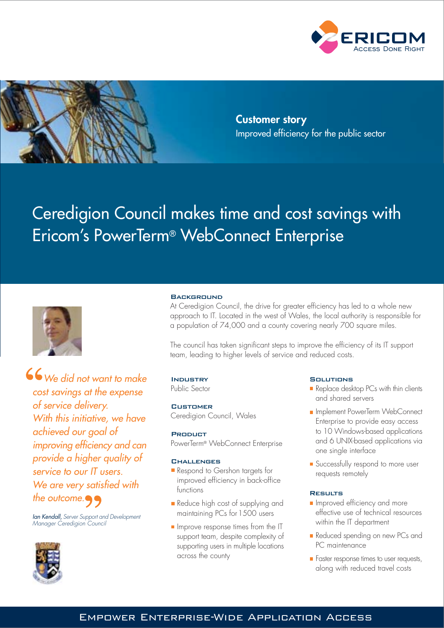



**Customer story** Improved efficiency for the public sector

## Ceredigion Council makes time and cost savings with Ericom's PowerTerm® WebConnect Enterprise



66 We did not want to make cost savings at the expense of service delivery. With this initiative, we have achieved our goal of improving efficiency and can provide a higher quality of service to our IT users. We are very satisfied with the outcome.

Ian Kendall, Server Support and Development Manager Ceredigion Council



## **BACKGROUND**

At Ceredigion Council, the drive for greater efficiency has led to a whole new approach to IT. Located in the west of Wales, the local authority is responsible for a population of 74,000 and a county covering nearly 700 square miles.

The council has taken significant steps to improve the efficiency of its IT support team, leading to higher levels of service and reduced costs.

## Industry

Public Sector

CustomerCeredigion Council, Wales

## **PRODUCT**

PowerTerm® WebConnect Enterprise

## **C**HALLENGES

- Respond to Gershon targets for improved efficiency in back-office functions
- Reduce high cost of supplying and maintaining PCs for 1500 users
- Improve response times from the IT support team, despite complexity of supporting users in multiple locations across the county

## Solutions

- Replace desktop PCs with thin clients and shared servers
- **Implement PowerTerm WebConnect** Enterprise to provide easy access to 10 Windows-based applications and 6 UNIX-based applications via one single interface
- Successfully respond to more user requests remotely

## Results

- **Improved efficiency and more** effective use of technical resources within the IT department
- Reduced spending on new PCs and PC maintenance
- **Faster response times to user requests,** along with reduced travel costs

## Empower Enterprise-Wide Application Access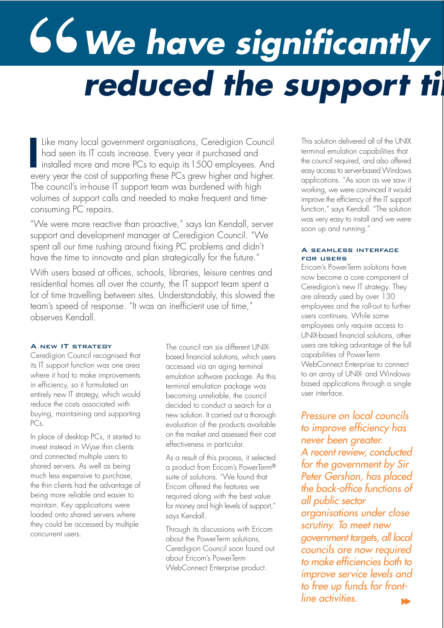# **We have significantly** reduced the support til

 Like many local government organisations, Ceredigion Council had seen its IT costs increase. Every year it purchased and installed more and more PCs to equip its 1500 employees. And every year the cost of supporting these PCs grew higher and higher. The council's in-house IT support team was burdened with high volumes of support calls and needed to make frequent and timeconsuming PC repairs.

"We were more reactive than proactive," says Ian Kendall, server support and development manager at Ceredigion Council. "We spent all our time rushing around fixing PC problems and didn't have the time to innovate and plan strategically for the future."

With users based at offices, schools, libraries, leisure centres and residential homes all over the county, the IT support team spent a lot of time travelling between sites. Understandably, this slowed the team's speed of response. "It was an inefficient use of time," observes Kendall.

## A new IT strategy

Ceredigion Council recognised that its IT support function was one area where it had to make improvements in efficiency, so it formulated an entirely new IT strategy, which would reduce the costs associated with buying, maintaining and supporting PCs.

In place of desktop PCs, it started to invest instead in Wyse thin clients and connected multiple users to shared servers. As well as being much less expensive to purchase, the thin clients had the advantage of being more reliable and easier to maintain. Key applications were loaded onto shared servers where they could be accessed by multiple concurrent users.

The council ran six different UNIXbased financial solutions, which users accessed via an aging terminal emulation software package. As this terminal emulation package was becoming unreliable, the council decided to conduct a search for a new solution. It carried out a thorough evaluation of the products available on the market and assessed their cost effectiveness in particular.

As a result of this process, it selected a product from Ericom's PowerTerm® suite of solutions. "We found that Ericom offered the features we required along with the best value for money and high levels of support," says Kendall.

Through its discussions with Ericom about the PowerTerm solutions, Ceredigion Council soon found out about Ericom's PowerTerm WebConnect Enterprise product.

This solution delivered all of the UNIX terminal emulation capabilities that the council required, and also offered easy access to server-based Windows applications. "As soon as we saw it working, we were convinced it would improve the efficiency of the IT support function," says Kendall. "The solution was very easy to install and we were soon up and running."

## A seamless interface for users

Ericom's PowerTerm solutions have now become a core component of Ceredigion's new IT strategy. They are already used by over 130 employees and the roll-out to further users continues. While some employees only require access to UNIX-based financial solutions, other users are taking advantage of the full capabilities of PowerTerm WebConnect Enterprise to connect to an array of UNIX- and Windowsbased applications through a single user interface.

Pressure on local councils to improve efficiency has never been greater. A recent review, conducted for the government by Sir Peter Gershon, has placed the back-office functions of all public sector organisations under close scrutiny. To meet new government targets, all local councils are now required to make efficiencies both to improve service levels and to free up funds for frontline activities.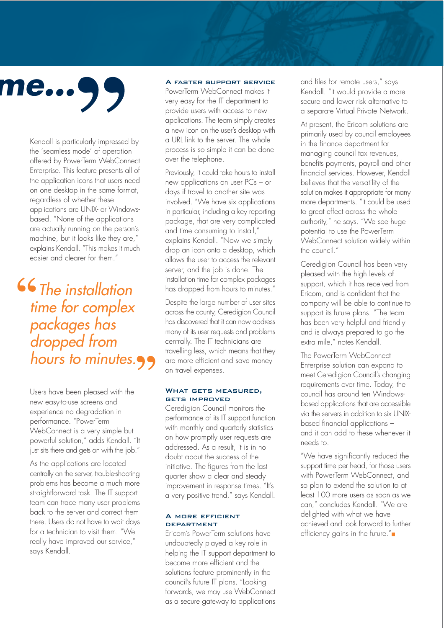## **me...**

Kendall is particularly impressed by the 'seamless mode' of operation offered by PowerTerm WebConnect Enterprise. This feature presents all of the application icons that users need on one desktop in the same format, regardless of whether these applications are UNIX- or Windowsbased. "None of the applications are actually running on the person's machine, but it looks like they are," explains Kendall. "This makes it much easier and clearer for them."

**66** The installation time for complex packages has dropped from hours to minutes.

Users have been pleased with the new easy-to-use screens and experience no degradation in performance. "PowerTerm WebConnect is a very simple but powerful solution," adds Kendall. "It just sits there and gets on with the job."

As the applications are located centrally on the server, trouble-shooting problems has become a much more straightforward task. The IT support team can trace many user problems back to the server and correct them there. Users do not have to wait days for a technician to visit them. "We really have improved our service," says Kendall.

## A faster support service

PowerTerm WebConnect makes it very easy for the IT department to provide users with access to new applications. The team simply creates a new icon on the user's desktop with a URL link to the server. The whole process is so simple it can be done over the telephone.

Previously, it could take hours to install new applications on user PCs – or days if travel to another site was involved. "We have six applications in particular, including a key reporting package, that are very complicated and time consuming to install," explains Kendall. "Now we simply drop an icon onto a desktop, which allows the user to access the relevant server, and the job is done. The installation time for complex packages has dropped from hours to minutes."

Despite the large number of user sites across the county, Ceredigion Council has discovered that it can now address many of its user requests and problems centrally. The IT technicians are travelling less, which means that they are more efficient and save money on travel expenses.

## What gets measured, gets improved

Ceredigion Council monitors the performance of its IT support function with monthly and quarterly statistics on how promptly user requests are addressed. As a result, it is in no doubt about the success of the initiative. The figures from the last quarter show a clear and steady improvement in response times. "It's a very positive trend," says Kendall.

## A more efficientDEPARTMENT

Ericom's PowerTerm solutions have undoubtedly played a key role in helping the IT support department to become more efficient and the solutions feature prominently in the council's future IT plans. "Looking forwards, we may use WebConnect as a secure gateway to applications and files for remote users," says Kendall. "It would provide a more secure and lower risk alternative to a separate Virtual Private Network.

At present, the Ericom solutions are primarily used by council employees in the finance department for managing council tax revenues, benefits payments, payroll and other financial services. However, Kendall believes that the versatility of the solution makes it appropriate for many more departments. "It could be used to great effect across the whole authority," he says. "We see huge potential to use the PowerTerm WebConnect solution widely within the council."

Ceredigion Council has been very pleased with the high levels of support, which it has received from Ericom, and is confident that the company will be able to continue to support its future plans. "The team has been very helpful and friendly and is always prepared to go the extra mile," notes Kendall.

The PowerTerm WebConnect Enterprise solution can expand to meet Ceredigion Council's changing requirements over time. Today, the council has around ten Windowsbased applications that are accessible via the servers in addition to six UNIXbased financial applications – and it can add to these whenever it needs to.

"We have significantly reduced the support time per head, for those users with PowerTerm WebConnect, and so plan to extend the solution to at least 100 more users as soon as we can," concludes Kendall. "We are delighted with what we have achieved and look forward to further efficiency gains in the future."